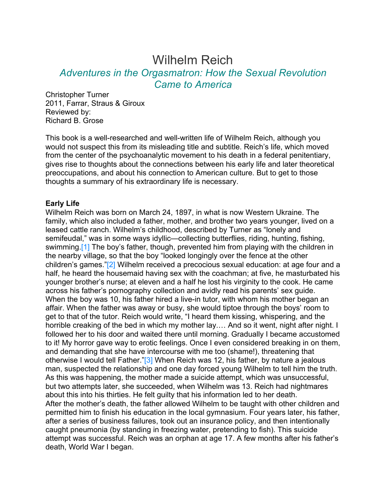# Wilhelm Reich

## *Adventures in the Orgasmatron: How the Sexual Revolution Came to America*

Christopher Turner 2011, Farrar, Straus & Giroux Reviewed by: Richard B. Grose

This book is a well-researched and well-written life of Wilhelm Reich, although you would not suspect this from its misleading title and subtitle. Reich's life, which moved from the center of the psychoanalytic movement to his death in a federal penitentiary, gives rise to thoughts about the connections between his early life and later theoretical preoccupations, and about his connection to American culture. But to get to those thoughts a summary of his extraordinary life is necessary.

#### **Early Life**

Wilhelm Reich was born on March 24, 1897, in what is now Western Ukraine. The family, which also included a father, mother, and brother two years younger, lived on a leased cattle ranch. Wilhelm's childhood, described by Turner as "lonely and semifeudal," was in some ways idyllic—collecting butterflies, riding, hunting, fishing, swimming.[1] The boy's father, though, prevented him from playing with the children in the nearby village, so that the boy "looked longingly over the fence at the other children's games."[2] Wilhelm received a precocious sexual education: at age four and a half, he heard the housemaid having sex with the coachman; at five, he masturbated his younger brother's nurse; at eleven and a half he lost his virginity to the cook. He came across his father's pornography collection and avidly read his parents' sex guide. When the boy was 10, his father hired a live-in tutor, with whom his mother began an affair. When the father was away or busy, she would tiptoe through the boys' room to get to that of the tutor. Reich would write, "I heard them kissing, whispering, and the horrible creaking of the bed in which my mother lay.… And so it went, night after night. I followed her to his door and waited there until morning. Gradually I became accustomed to it! My horror gave way to erotic feelings. Once I even considered breaking in on them, and demanding that she have intercourse with me too (shame!), threatening that otherwise I would tell Father."[3] When Reich was 12, his father, by nature a jealous man, suspected the relationship and one day forced young Wilhelm to tell him the truth. As this was happening, the mother made a suicide attempt, which was unsuccessful, but two attempts later, she succeeded, when Wilhelm was 13. Reich had nightmares about this into his thirties. He felt guilty that his information led to her death. After the mother's death, the father allowed Wilhelm to be taught with other children and permitted him to finish his education in the local gymnasium. Four years later, his father, after a series of business failures, took out an insurance policy, and then intentionally caught pneumonia (by standing in freezing water, pretending to fish). This suicide attempt was successful. Reich was an orphan at age 17. A few months after his father's death, World War I began.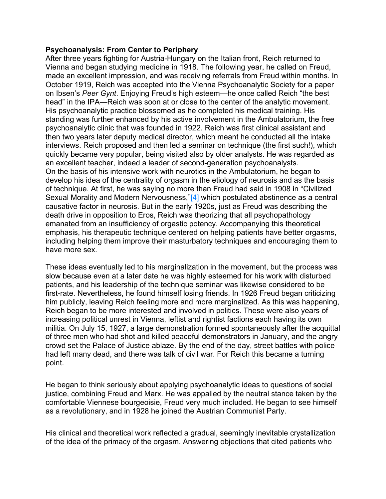#### **Psychoanalysis: From Center to Periphery**

After three years fighting for Austria-Hungary on the Italian front, Reich returned to Vienna and began studying medicine in 1918. The following year, he called on Freud, made an excellent impression, and was receiving referrals from Freud within months. In October 1919, Reich was accepted into the Vienna Psychoanalytic Society for a paper on Ibsen's *Peer Gynt*. Enjoying Freud's high esteem—he once called Reich "the best head" in the IPA—Reich was soon at or close to the center of the analytic movement. His psychoanalytic practice blossomed as he completed his medical training. His standing was further enhanced by his active involvement in the Ambulatorium, the free psychoanalytic clinic that was founded in 1922. Reich was first clinical assistant and then two years later deputy medical director, which meant he conducted all the intake interviews. Reich proposed and then led a seminar on technique (the first such!), which quickly became very popular, being visited also by older analysts. He was regarded as an excellent teacher, indeed a leader of second-generation psychoanalysts. On the basis of his intensive work with neurotics in the Ambulatorium, he began to develop his idea of the centrality of orgasm in the etiology of neurosis and as the basis of technique. At first, he was saying no more than Freud had said in 1908 in "Civilized Sexual Morality and Modern Nervousness,"[4] which postulated abstinence as a central causative factor in neurosis. But in the early 1920s, just as Freud was describing the death drive in opposition to Eros, Reich was theorizing that all psychopathology emanated from an insufficiency of orgastic potency. Accompanying this theoretical emphasis, his therapeutic technique centered on helping patients have better orgasms, including helping them improve their masturbatory techniques and encouraging them to have more sex.

These ideas eventually led to his marginalization in the movement, but the process was slow because even at a later date he was highly esteemed for his work with disturbed patients, and his leadership of the technique seminar was likewise considered to be first-rate. Nevertheless, he found himself losing friends. In 1926 Freud began criticizing him publicly, leaving Reich feeling more and more marginalized. As this was happening, Reich began to be more interested and involved in politics. These were also years of increasing political unrest in Vienna, leftist and rightist factions each having its own militia. On July 15, 1927, a large demonstration formed spontaneously after the acquittal of three men who had shot and killed peaceful demonstrators in January, and the angry crowd set the Palace of Justice ablaze. By the end of the day, street battles with police had left many dead, and there was talk of civil war. For Reich this became a turning point.

He began to think seriously about applying psychoanalytic ideas to questions of social justice, combining Freud and Marx. He was appalled by the neutral stance taken by the comfortable Viennese bourgeoisie, Freud very much included. He began to see himself as a revolutionary, and in 1928 he joined the Austrian Communist Party.

His clinical and theoretical work reflected a gradual, seemingly inevitable crystallization of the idea of the primacy of the orgasm. Answering objections that cited patients who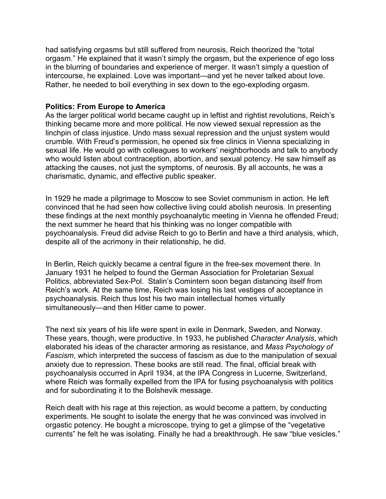had satisfying orgasms but still suffered from neurosis, Reich theorized the "total orgasm." He explained that it wasn't simply the orgasm, but the experience of ego loss in the blurring of boundaries and experience of merger. It wasn't simply a question of intercourse, he explained. Love was important—and yet he never talked about love. Rather, he needed to boil everything in sex down to the ego-exploding orgasm.

#### **Politics: From Europe to America**

As the larger political world became caught up in leftist and rightist revolutions, Reich's thinking became more and more political. He now viewed sexual repression as the linchpin of class injustice. Undo mass sexual repression and the unjust system would crumble. With Freud's permission, he opened six free clinics in Vienna specializing in sexual life. He would go with colleagues to workers' neighborhoods and talk to anybody who would listen about contraception, abortion, and sexual potency. He saw himself as attacking the causes, not just the symptoms, of neurosis. By all accounts, he was a charismatic, dynamic, and effective public speaker.

In 1929 he made a pilgrimage to Moscow to see Soviet communism in action. He left convinced that he had seen how collective living could abolish neurosis. In presenting these findings at the next monthly psychoanalytic meeting in Vienna he offended Freud; the next summer he heard that his thinking was no longer compatible with psychoanalysis. Freud did advise Reich to go to Berlin and have a third analysis, which, despite all of the acrimony in their relationship, he did.

In Berlin, Reich quickly became a central figure in the free-sex movement there. In January 1931 he helped to found the German Association for Proletarian Sexual Politics, abbreviated Sex-Pol. Stalin's Comintern soon began distancing itself from Reich's work. At the same time, Reich was losing his last vestiges of acceptance in psychoanalysis. Reich thus lost his two main intellectual homes virtually simultaneously—and then Hitler came to power.

The next six years of his life were spent in exile in Denmark, Sweden, and Norway. These years, though, were productive. In 1933, he published *Character Analysis*, which elaborated his ideas of the character armoring as resistance, and *Mass Psychology of Fascism*, which interpreted the success of fascism as due to the manipulation of sexual anxiety due to repression. These books are still read. The final, official break with psychoanalysis occurred in April 1934, at the IPA Congress in Lucerne, Switzerland, where Reich was formally expelled from the IPA for fusing psychoanalysis with politics and for subordinating it to the Bolshevik message.

Reich dealt with his rage at this rejection, as would become a pattern, by conducting experiments. He sought to isolate the energy that he was convinced was involved in orgastic potency. He bought a microscope, trying to get a glimpse of the "vegetative currents" he felt he was isolating. Finally he had a breakthrough. He saw "blue vesicles."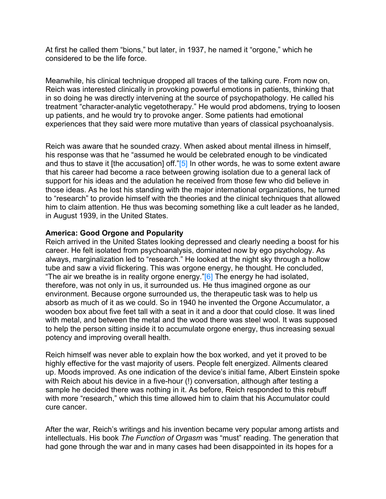At first he called them "bions," but later, in 1937, he named it "orgone," which he considered to be the life force.

Meanwhile, his clinical technique dropped all traces of the talking cure. From now on, Reich was interested clinically in provoking powerful emotions in patients, thinking that in so doing he was directly intervening at the source of psychopathology. He called his treatment "character-analytic vegetotherapy." He would prod abdomens, trying to loosen up patients, and he would try to provoke anger. Some patients had emotional experiences that they said were more mutative than years of classical psychoanalysis.

Reich was aware that he sounded crazy. When asked about mental illness in himself, his response was that he "assumed he would be celebrated enough to be vindicated and thus to stave it [the accusation] off."[5] In other words, he was to some extent aware that his career had become a race between growing isolation due to a general lack of support for his ideas and the adulation he received from those few who did believe in those ideas. As he lost his standing with the major international organizations, he turned to "research" to provide himself with the theories and the clinical techniques that allowed him to claim attention. He thus was becoming something like a cult leader as he landed, in August 1939, in the United States.

### **America: Good Orgone and Popularity**

Reich arrived in the United States looking depressed and clearly needing a boost for his career. He felt isolated from psychoanalysis, dominated now by ego psychology. As always, marginalization led to "research." He looked at the night sky through a hollow tube and saw a vivid flickering. This was orgone energy, he thought. He concluded, "The air we breathe is in reality orgone energy." $[6]$  The energy he had isolated, therefore, was not only in us, it surrounded us. He thus imagined orgone as our environment. Because orgone surrounded us, the therapeutic task was to help us absorb as much of it as we could. So in 1940 he invented the Orgone Accumulator, a wooden box about five feet tall with a seat in it and a door that could close. It was lined with metal, and between the metal and the wood there was steel wool. It was supposed to help the person sitting inside it to accumulate orgone energy, thus increasing sexual potency and improving overall health.

Reich himself was never able to explain how the box worked, and yet it proved to be highly effective for the vast majority of users. People felt energized. Ailments cleared up. Moods improved. As one indication of the device's initial fame, Albert Einstein spoke with Reich about his device in a five-hour (!) conversation, although after testing a sample he decided there was nothing in it. As before, Reich responded to this rebuff with more "research," which this time allowed him to claim that his Accumulator could cure cancer.

After the war, Reich's writings and his invention became very popular among artists and intellectuals. His book *The Function of Orgasm* was "must" reading. The generation that had gone through the war and in many cases had been disappointed in its hopes for a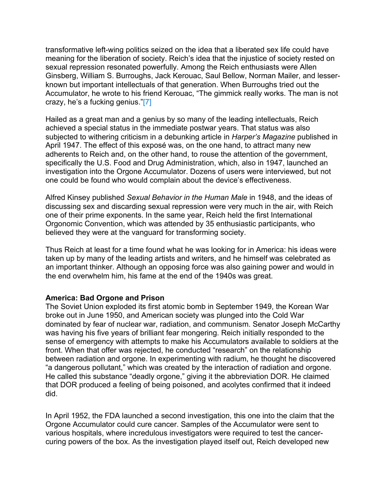transformative left-wing politics seized on the idea that a liberated sex life could have meaning for the liberation of society. Reich's idea that the injustice of society rested on sexual repression resonated powerfully. Among the Reich enthusiasts were Allen Ginsberg, William S. Burroughs, Jack Kerouac, Saul Bellow, Norman Mailer, and lesserknown but important intellectuals of that generation. When Burroughs tried out the Accumulator, he wrote to his friend Kerouac, "The gimmick really works. The man is not crazy, he's a fucking genius."[7]

Hailed as a great man and a genius by so many of the leading intellectuals, Reich achieved a special status in the immediate postwar years. That status was also subjected to withering criticism in a debunking article in *Harper's Magazine* published in April 1947. The effect of this exposé was, on the one hand, to attract many new adherents to Reich and, on the other hand, to rouse the attention of the government, specifically the U.S. Food and Drug Administration, which, also in 1947, launched an investigation into the Orgone Accumulator. Dozens of users were interviewed, but not one could be found who would complain about the device's effectiveness.

Alfred Kinsey published *Sexual Behavior in the Human Male* in 1948, and the ideas of discussing sex and discarding sexual repression were very much in the air, with Reich one of their prime exponents. In the same year, Reich held the first International Orgonomic Convention, which was attended by 35 enthusiastic participants, who believed they were at the vanguard for transforming society.

Thus Reich at least for a time found what he was looking for in America: his ideas were taken up by many of the leading artists and writers, and he himself was celebrated as an important thinker. Although an opposing force was also gaining power and would in the end overwhelm him, his fame at the end of the 1940s was great.

### **America: Bad Orgone and Prison**

The Soviet Union exploded its first atomic bomb in September 1949, the Korean War broke out in June 1950, and American society was plunged into the Cold War dominated by fear of nuclear war, radiation, and communism. Senator Joseph McCarthy was having his five years of brilliant fear mongering. Reich initially responded to the sense of emergency with attempts to make his Accumulators available to soldiers at the front. When that offer was rejected, he conducted "research" on the relationship between radiation and orgone. In experimenting with radium, he thought he discovered "a dangerous pollutant," which was created by the interaction of radiation and orgone. He called this substance "deadly orgone," giving it the abbreviation DOR. He claimed that DOR produced a feeling of being poisoned, and acolytes confirmed that it indeed did.

In April 1952, the FDA launched a second investigation, this one into the claim that the Orgone Accumulator could cure cancer. Samples of the Accumulator were sent to various hospitals, where incredulous investigators were required to test the cancercuring powers of the box. As the investigation played itself out, Reich developed new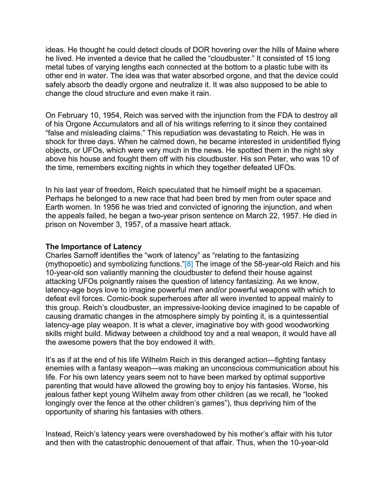ideas. He thought he could detect clouds of DOR hovering over the hills of Maine where he lived. He invented a device that he called the "cloudbuster." It consisted of 15 long metal tubes of varying lengths each connected at the bottom to a plastic tube with its other end in water. The idea was that water absorbed orgone, and that the device could safely absorb the deadly orgone and neutralize it. It was also supposed to be able to change the cloud structure and even make it rain.

On February 10, 1954, Reich was served with the injunction from the FDA to destroy all of his Orgone Accumulators and all of his writings referring to it since they contained "false and misleading claims." This repudiation was devastating to Reich. He was in shock for three days. When he calmed down, he became interested in unidentified flying objects, or UFOs, which were very much in the news. He spotted them in the night sky above his house and fought them off with his cloudbuster. His son Peter, who was 10 of the time, remembers exciting nights in which they together defeated UFOs.

In his last year of freedom, Reich speculated that he himself might be a spaceman. Perhaps he belonged to a new race that had been bred by men from outer space and Earth women. In 1956 he was tried and convicted of ignoring the injunction, and when the appeals failed, he began a two-year prison sentence on March 22, 1957. He died in prison on November 3, 1957, of a massive heart attack.

### **The Importance of Latency**

Charles Sarnoff identifies the "work of latency" as "relating to the fantasizing (mythopoetic) and symbolizing functions." $[8]$  The image of the 58-year-old Reich and his 10-year-old son valiantly manning the cloudbuster to defend their house against attacking UFOs poignantly raises the question of latency fantasizing. As we know, latency-age boys love to imagine powerful men and/or powerful weapons with which to defeat evil forces. Comic-book superheroes after all were invented to appeal mainly to this group. Reich's cloudbuster, an impressive-looking device imagined to be capable of causing dramatic changes in the atmosphere simply by pointing it, is a quintessential latency-age play weapon. It is what a clever, imaginative boy with good woodworking skills might build. Midway between a childhood toy and a real weapon, it would have all the awesome powers that the boy endowed it with.

It's as if at the end of his life Wilhelm Reich in this deranged action—fighting fantasy enemies with a fantasy weapon—was making an unconscious communication about his life. For his own latency years seem not to have been marked by optimal supportive parenting that would have allowed the growing boy to enjoy his fantasies. Worse, his jealous father kept young Wilhelm away from other children (as we recall, he "looked longingly over the fence at the other children's games"), thus depriving him of the opportunity of sharing his fantasies with others.

Instead, Reich's latency years were overshadowed by his mother's affair with his tutor and then with the catastrophic denouement of that affair. Thus, when the 10-year-old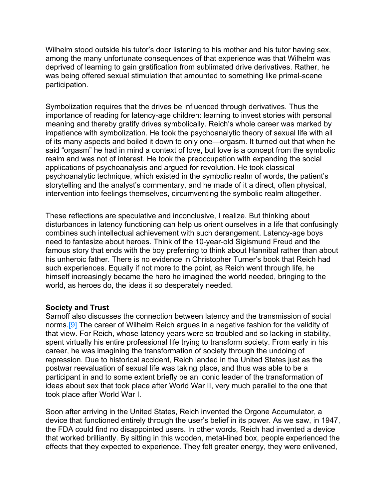Wilhelm stood outside his tutor's door listening to his mother and his tutor having sex, among the many unfortunate consequences of that experience was that Wilhelm was deprived of learning to gain gratification from sublimated drive derivatives. Rather, he was being offered sexual stimulation that amounted to something like primal-scene participation.

Symbolization requires that the drives be influenced through derivatives. Thus the importance of reading for latency-age children: learning to invest stories with personal meaning and thereby gratify drives symbolically. Reich's whole career was marked by impatience with symbolization. He took the psychoanalytic theory of sexual life with all of its many aspects and boiled it down to only one—orgasm. It turned out that when he said "orgasm" he had in mind a context of love, but love is a concept from the symbolic realm and was not of interest. He took the preoccupation with expanding the social applications of psychoanalysis and argued for revolution. He took classical psychoanalytic technique, which existed in the symbolic realm of words, the patient's storytelling and the analyst's commentary, and he made of it a direct, often physical, intervention into feelings themselves, circumventing the symbolic realm altogether.

These reflections are speculative and inconclusive, I realize. But thinking about disturbances in latency functioning can help us orient ourselves in a life that confusingly combines such intellectual achievement with such derangement. Latency-age boys need to fantasize about heroes. Think of the 10-year-old Sigismund Freud and the famous story that ends with the boy preferring to think about Hannibal rather than about his unheroic father. There is no evidence in Christopher Turner's book that Reich had such experiences. Equally if not more to the point, as Reich went through life, he himself increasingly became the hero he imagined the world needed, bringing to the world, as heroes do, the ideas it so desperately needed.

#### **Society and Trust**

Sarnoff also discusses the connection between latency and the transmission of social norms.[9] The career of Wilhelm Reich argues in a negative fashion for the validity of that view. For Reich, whose latency years were so troubled and so lacking in stability, spent virtually his entire professional life trying to transform society. From early in his career, he was imagining the transformation of society through the undoing of repression. Due to historical accident, Reich landed in the United States just as the postwar reevaluation of sexual life was taking place, and thus was able to be a participant in and to some extent briefly be an iconic leader of the transformation of ideas about sex that took place after World War II, very much parallel to the one that took place after World War I.

Soon after arriving in the United States, Reich invented the Orgone Accumulator, a device that functioned entirely through the user's belief in its power. As we saw, in 1947, the FDA could find no disappointed users. In other words, Reich had invented a device that worked brilliantly. By sitting in this wooden, metal-lined box, people experienced the effects that they expected to experience. They felt greater energy, they were enlivened,